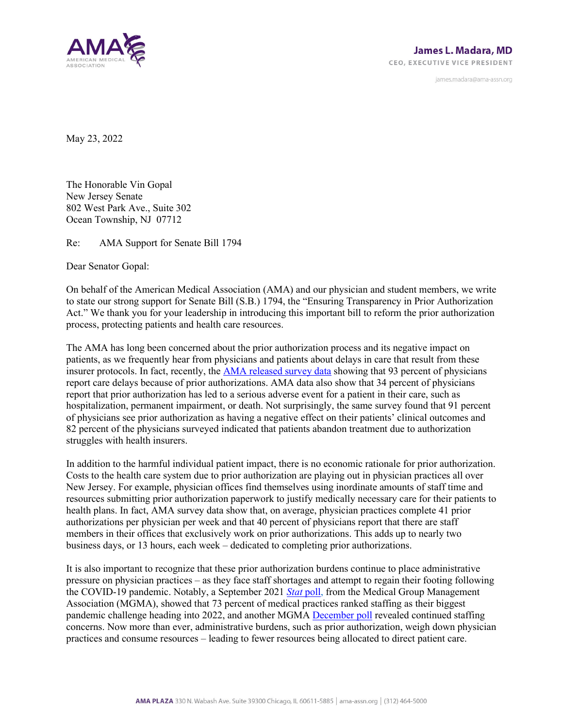

james.madara@ama-assn.org

May 23, 2022

The Honorable Vin Gopal New Jersey Senate 802 West Park Ave., Suite 302 Ocean Township, NJ 07712

Re: AMA Support for Senate Bill 1794

Dear Senator Gopal:

On behalf of the American Medical Association (AMA) and our physician and student members, we write to state our strong support for Senate Bill (S.B.) 1794, the "Ensuring Transparency in Prior Authorization Act." We thank you for your leadership in introducing this important bill to reform the prior authorization process, protecting patients and health care resources.

The AMA has long been concerned about the prior authorization process and its negative impact on patients, as we frequently hear from physicians and patients about delays in care that result from these insurer protocols. In fact, recently, th[e AMA released survey data](https://www.ama-assn.org/system/files/prior-authorization-survey.pdf) showing that 93 percent of physicians report care delays because of prior authorizations. AMA data also show that 34 percent of physicians report that prior authorization has led to a serious adverse event for a patient in their care, such as hospitalization, permanent impairment, or death. Not surprisingly, the same survey found that 91 percent of physicians see prior authorization as having a negative effect on their patients' clinical outcomes and 82 percent of the physicians surveyed indicated that patients abandon treatment due to authorization struggles with health insurers.

In addition to the harmful individual patient impact, there is no economic rationale for prior authorization. Costs to the health care system due to prior authorization are playing out in physician practices all over New Jersey. For example, physician offices find themselves using inordinate amounts of staff time and resources submitting prior authorization paperwork to justify medically necessary care for their patients to health plans. In fact, AMA survey data show that, on average, physician practices complete 41 prior authorizations per physician per week and that 40 percent of physicians report that there are staff members in their offices that exclusively work on prior authorizations. This adds up to nearly two business days, or 13 hours, each week – dedicated to completing prior authorizations.

It is also important to recognize that these prior authorization burdens continue to place administrative pressure on physician practices – as they face staff shortages and attempt to regain their footing following the COVID-19 pandemic. Notably, a September 2021 *[Stat](https://www.mgma.com/data/data-stories/staffing,-uncertainty-among-top-pandemic-challenge)* poll, from the Medical Group Management Association (MGMA), showed that 73 percent of medical practices ranked staffing as their biggest pandemic challenge heading into 2022, and another MGMA [December poll](https://www.mgma.com/data/data-stories/omicron%E2%80%99s-holiday-surge-causes-a-perfect-storm-for) revealed continued staffing concerns. Now more than ever, administrative burdens, such as prior authorization, weigh down physician practices and consume resources – leading to fewer resources being allocated to direct patient care.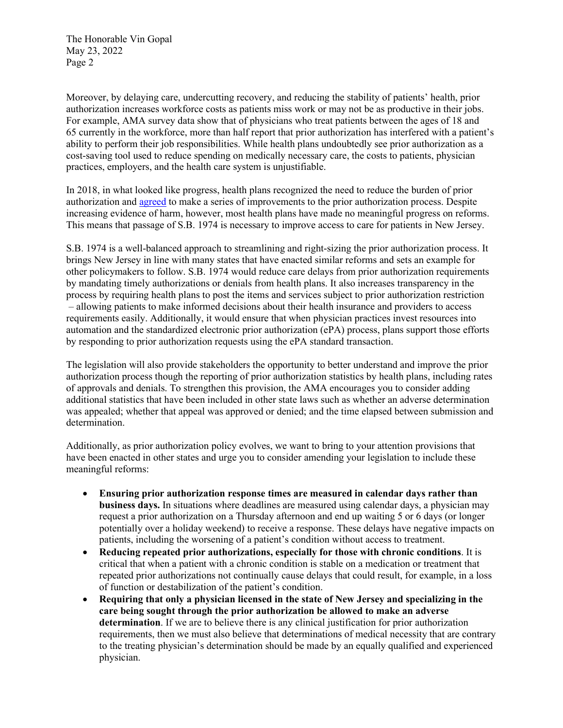The Honorable Vin Gopal May 23, 2022 Page 2

Moreover, by delaying care, undercutting recovery, and reducing the stability of patients' health, prior authorization increases workforce costs as patients miss work or may not be as productive in their jobs. For example, AMA survey data show that of physicians who treat patients between the ages of 18 and 65 currently in the workforce, more than half report that prior authorization has interfered with a patient's ability to perform their job responsibilities. While health plans undoubtedly see prior authorization as a cost-saving tool used to reduce spending on medically necessary care, the costs to patients, physician practices, employers, and the health care system is unjustifiable.

In 2018, in what looked like progress, health plans recognized the need to reduce the burden of prior authorization and [agreed](https://www.ama-assn.org/sites/ama-assn.org/files/corp/media-browser/public/arc-public/prior-authorization-consensus-statement.pdf) to make a series of improvements to the prior authorization process. Despite increasing evidence of harm, however, most health plans have made no meaningful progress on reforms. This means that passage of S.B. 1974 is necessary to improve access to care for patients in New Jersey.

S.B. 1974 is a well-balanced approach to streamlining and right-sizing the prior authorization process. It brings New Jersey in line with many states that have enacted similar reforms and sets an example for other policymakers to follow. S.B. 1974 would reduce care delays from prior authorization requirements by mandating timely authorizations or denials from health plans. It also increases transparency in the process by requiring health plans to post the items and services subject to prior authorization restriction – allowing patients to make informed decisions about their health insurance and providers to access requirements easily. Additionally, it would ensure that when physician practices invest resources into automation and the standardized electronic prior authorization (ePA) process, plans support those efforts by responding to prior authorization requests using the ePA standard transaction.

The legislation will also provide stakeholders the opportunity to better understand and improve the prior authorization process though the reporting of prior authorization statistics by health plans, including rates of approvals and denials. To strengthen this provision, the AMA encourages you to consider adding additional statistics that have been included in other state laws such as whether an adverse determination was appealed; whether that appeal was approved or denied; and the time elapsed between submission and determination.

Additionally, as prior authorization policy evolves, we want to bring to your attention provisions that have been enacted in other states and urge you to consider amending your legislation to include these meaningful reforms:

- **Ensuring prior authorization response times are measured in calendar days rather than business days.** In situations where deadlines are measured using calendar days, a physician may request a prior authorization on a Thursday afternoon and end up waiting 5 or 6 days (or longer potentially over a holiday weekend) to receive a response. These delays have negative impacts on patients, including the worsening of a patient's condition without access to treatment.
- **Reducing repeated prior authorizations, especially for those with chronic conditions**. It is critical that when a patient with a chronic condition is stable on a medication or treatment that repeated prior authorizations not continually cause delays that could result, for example, in a loss of function or destabilization of the patient's condition.
- **Requiring that only a physician licensed in the state of New Jersey and specializing in the care being sought through the prior authorization be allowed to make an adverse determination**. If we are to believe there is any clinical justification for prior authorization requirements, then we must also believe that determinations of medical necessity that are contrary to the treating physician's determination should be made by an equally qualified and experienced physician.